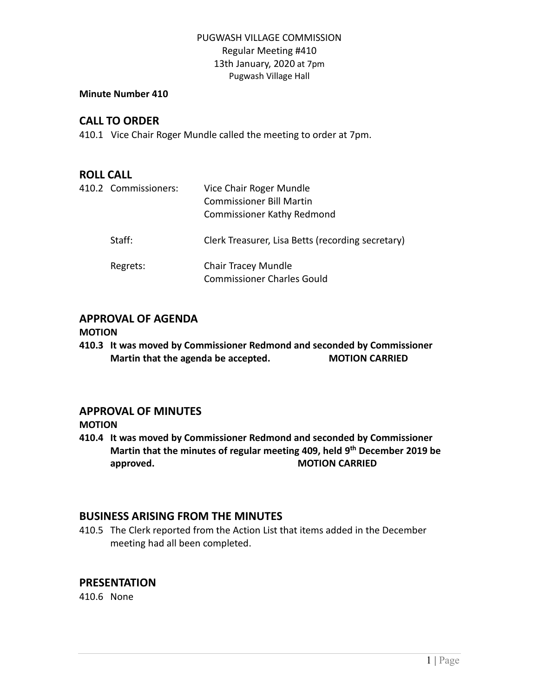### PUGWASH VILLAGE COMMISSION Regular Meeting #410 13th January, 2020 at 7pm Pugwash Village Hall

#### **Minute Number 410**

## **CALL TO ORDER**

410.1 Vice Chair Roger Mundle called the meeting to order at 7pm.

### **ROLL CALL**

| 410.2 Commissioners: | Vice Chair Roger Mundle<br><b>Commissioner Bill Martin</b><br><b>Commissioner Kathy Redmond</b> |
|----------------------|-------------------------------------------------------------------------------------------------|
| Staff:               | Clerk Treasurer, Lisa Betts (recording secretary)                                               |
| Regrets:             | <b>Chair Tracey Mundle</b><br><b>Commissioner Charles Gould</b>                                 |

# **APPROVAL OF AGENDA**

#### **MOTION**

**410.3 It was moved by Commissioner Redmond and seconded by Commissioner Martin that the agenda be accepted. MOTION CARRIED**

# **APPROVAL OF MINUTES**

#### **MOTION**

**410.4 It was moved by Commissioner Redmond and seconded by Commissioner Martin that the minutes of regular meeting 409, held 9 th December 2019 be approved. MOTION CARRIED** 

### **BUSINESS ARISING FROM THE MINUTES**

410.5 The Clerk reported from the Action List that items added in the December meeting had all been completed.

# **PRESENTATION**

410.6 None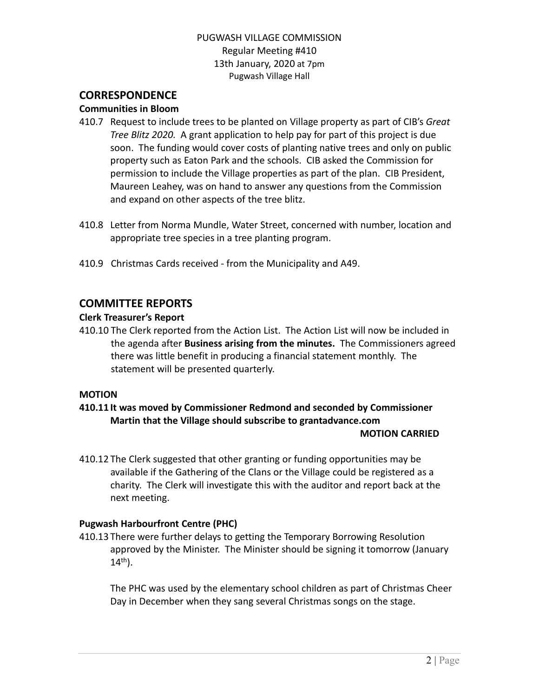### PUGWASH VILLAGE COMMISSION Regular Meeting #410 13th January, 2020 at 7pm Pugwash Village Hall

## **CORRESPONDENCE**

#### **Communities in Bloom**

- 410.7 Request to include trees to be planted on Village property as part of CIB's *Great Tree Blitz 2020.* A grant application to help pay for part of this project is due soon. The funding would cover costs of planting native trees and only on public property such as Eaton Park and the schools. CIB asked the Commission for permission to include the Village properties as part of the plan. CIB President, Maureen Leahey, was on hand to answer any questions from the Commission and expand on other aspects of the tree blitz.
- 410.8 Letter from Norma Mundle, Water Street, concerned with number, location and appropriate tree species in a tree planting program.
- 410.9 Christmas Cards received from the Municipality and A49.

### **COMMITTEE REPORTS**

#### **Clerk Treasurer's Report**

410.10 The Clerk reported from the Action List. The Action List will now be included in the agenda after **Business arising from the minutes.** The Commissioners agreed there was little benefit in producing a financial statement monthly. The statement will be presented quarterly.

#### **MOTION**

#### **410.11 It was moved by Commissioner Redmond and seconded by Commissioner Martin that the Village should subscribe to grantadvance.com MOTION CARRIED**

410.12 The Clerk suggested that other granting or funding opportunities may be available if the Gathering of the Clans or the Village could be registered as a charity. The Clerk will investigate this with the auditor and report back at the next meeting.

#### **Pugwash Harbourfront Centre (PHC)**

410.13 There were further delays to getting the Temporary Borrowing Resolution approved by the Minister. The Minister should be signing it tomorrow (January  $14^{th}$ ).

The PHC was used by the elementary school children as part of Christmas Cheer Day in December when they sang several Christmas songs on the stage.